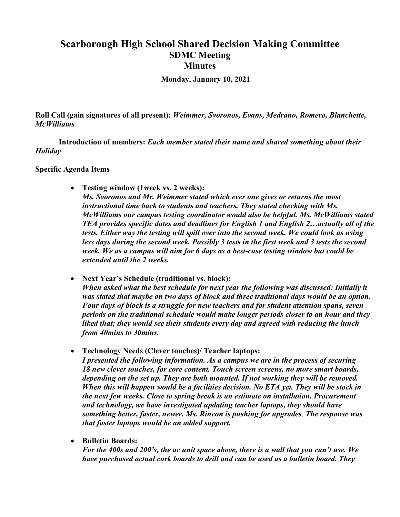## **Scarborough High School Shared Decision Making Committee SDMC Meeting Minutes**

**Monday, January 10, 2021**

**Roll Call (gain signatures of all present):** *Weimmer, Svoronos, Evans, Medrano, Romero, Blanchette, McWilliams*

**Introduction of members:** *Each member stated their name and shared something about their Holiday*

**Specific Agenda Items**

• **Testing window (1week vs. 2 weeks):**

*Ms. Svoronos and Mr. Weimmer stated which ever one gives or returns the most instructional time back to students and teachers. They stated checking with Ms. McWilliams our campus testing coordinator would also be helpful. Ms. McWilliams stated TEA provides specific dates and deadlines for English 1 and English 2…actually all of the tests. Either way the testing will spill over into the second week. We could look as using less days during the second week. Possibly 3 tests in the first week and 3 tests the second week. We as a campus will aim for 6 days as a best-case testing window but could be extended until the 2 weeks.* 

- **Next Year's Schedule (traditional vs. block):** *When asked what the best schedule for next year the following was discussed: Initially it was stated that maybe on two days of block and three traditional days would be an option. Four days of block is a struggle for new teachers and for student attention spans, seven periods on the traditional schedule would make longer periods closer to an hour and they liked that; they would see their students every day and agreed with reducing the lunch from 40mins to 30mins.*
- **Technology Needs (Clever touches)/ Teacher laptops:** *I presented the following information. As a campus we are in the process of securing 18 new clever touches, for core content. Touch screen screens, no more smart boards, depending on the set up. They are both mounted. If not working they will be removed. When this will happen would be a facilities decision. No ETA yet. They will be stock in the next few weeks. Close to spring break is an estimate on installation. Procurement and technology, we have investigated updating teacher laptops, they should have something better, faster, newer. Ms. Rincon is pushing for upgrades*. *The response was that faster laptops would be an added support.*
- **Bulletin Boards:**

*For the 400s and 200's, the ac unit space above, there is a wall that you can't use. We have purchased actual cork boards to drill and can be used as a bulletin board. They*